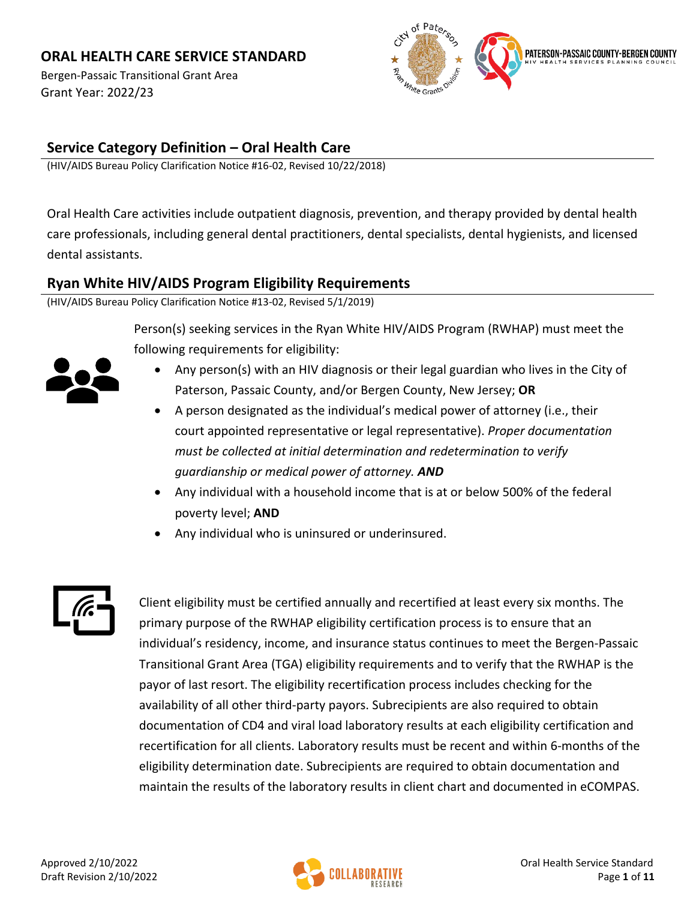Bergen-Passaic Transitional Grant Area Grant Year: 2022/23



## **Service Category Definition – Oral Health Care**

(HIV/AIDS Bureau Policy Clarification Notice #16-02, Revised 10/22/2018)

Oral Health Care activities include outpatient diagnosis, prevention, and therapy provided by dental health care professionals, including general dental practitioners, dental specialists, dental hygienists, and licensed dental assistants.

#### **Ryan White HIV/AIDS Program Eligibility Requirements**

(HIV/AIDS Bureau Policy Clarification Notice #13-02, Revised 5/1/2019)

Person(s) seeking services in the Ryan White HIV/AIDS Program (RWHAP) must meet the following requirements for eligibility:



- Any person(s) with an HIV diagnosis or their legal guardian who lives in the City of Paterson, Passaic County, and/or Bergen County, New Jersey; **OR**
- A person designated as the individual's medical power of attorney (i.e., their court appointed representative or legal representative). *Proper documentation must be collected at initial determination and redetermination to verify guardianship or medical power of attorney. AND*
- Any individual with a household income that is at or below 500% of the federal poverty level; **AND**
- Any individual who is uninsured or underinsured.



Client eligibility must be certified annually and recertified at least every six months. The primary purpose of the RWHAP eligibility certification process is to ensure that an individual's residency, income, and insurance status continues to meet the Bergen-Passaic Transitional Grant Area (TGA) eligibility requirements and to verify that the RWHAP is the payor of last resort. The eligibility recertification process includes checking for the availability of all other third-party payors. Subrecipients are also required to obtain documentation of CD4 and viral load laboratory results at each eligibility certification and recertification for all clients. Laboratory results must be recent and within 6-months of the eligibility determination date. Subrecipients are required to obtain documentation and maintain the results of the laboratory results in client chart and documented in eCOMPAS.

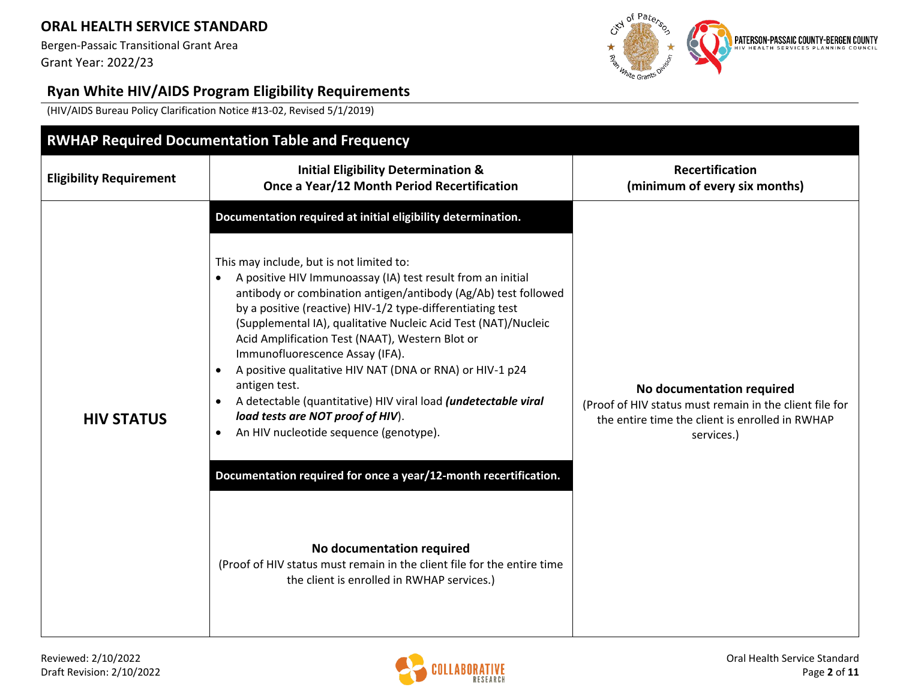Bergen-Passaic Transitional Grant Area Grant Year: 2022/23



# **Ryan White HIV/AIDS Program Eligibility Requirements**

(HIV/AIDS Bureau Policy Clarification Notice #13-02, Revised 5/1/2019)

|                                | <b>RWHAP Required Documentation Table and Frequency</b>                                                                                                                                                                                                                                                                                                                                                                                                                                                                                                                                                                                                                                                                                                                                                                                                                                                                 |                                                                                                                                                       |
|--------------------------------|-------------------------------------------------------------------------------------------------------------------------------------------------------------------------------------------------------------------------------------------------------------------------------------------------------------------------------------------------------------------------------------------------------------------------------------------------------------------------------------------------------------------------------------------------------------------------------------------------------------------------------------------------------------------------------------------------------------------------------------------------------------------------------------------------------------------------------------------------------------------------------------------------------------------------|-------------------------------------------------------------------------------------------------------------------------------------------------------|
| <b>Eligibility Requirement</b> | <b>Initial Eligibility Determination &amp;</b><br>Once a Year/12 Month Period Recertification                                                                                                                                                                                                                                                                                                                                                                                                                                                                                                                                                                                                                                                                                                                                                                                                                           | <b>Recertification</b><br>(minimum of every six months)                                                                                               |
| <b>HIV STATUS</b>              | Documentation required at initial eligibility determination.<br>This may include, but is not limited to:<br>A positive HIV Immunoassay (IA) test result from an initial<br>antibody or combination antigen/antibody (Ag/Ab) test followed<br>by a positive (reactive) HIV-1/2 type-differentiating test<br>(Supplemental IA), qualitative Nucleic Acid Test (NAT)/Nucleic<br>Acid Amplification Test (NAAT), Western Blot or<br>Immunofluorescence Assay (IFA).<br>A positive qualitative HIV NAT (DNA or RNA) or HIV-1 p24<br>antigen test.<br>A detectable (quantitative) HIV viral load (undetectable viral<br>load tests are NOT proof of HIV).<br>An HIV nucleotide sequence (genotype).<br>Documentation required for once a year/12-month recertification.<br>No documentation required<br>(Proof of HIV status must remain in the client file for the entire time<br>the client is enrolled in RWHAP services.) | No documentation required<br>(Proof of HIV status must remain in the client file for<br>the entire time the client is enrolled in RWHAP<br>services.) |

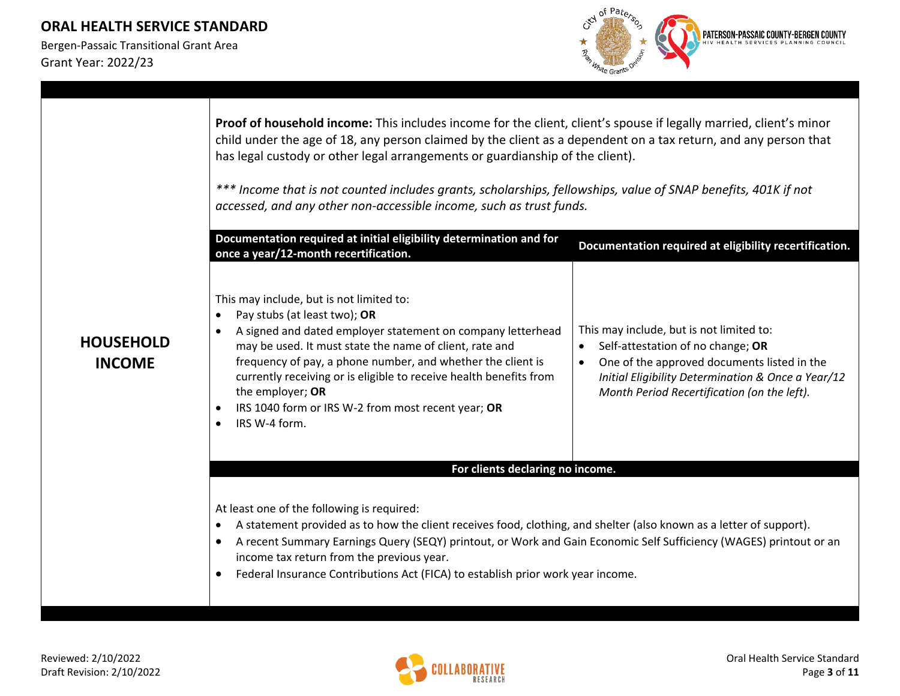

|                                   | Proof of household income: This includes income for the client, client's spouse if legally married, client's minor<br>child under the age of 18, any person claimed by the client as a dependent on a tax return, and any person that<br>has legal custody or other legal arrangements or guardianship of the client).<br>*** Income that is not counted includes grants, scholarships, fellowships, value of SNAP benefits, 401K if not<br>accessed, and any other non-accessible income, such as trust funds.<br>Documentation required at initial eligibility determination and for | Documentation required at eligibility recertification.                                                                                                                                                                                         |  |  |  |
|-----------------------------------|----------------------------------------------------------------------------------------------------------------------------------------------------------------------------------------------------------------------------------------------------------------------------------------------------------------------------------------------------------------------------------------------------------------------------------------------------------------------------------------------------------------------------------------------------------------------------------------|------------------------------------------------------------------------------------------------------------------------------------------------------------------------------------------------------------------------------------------------|--|--|--|
|                                   | once a year/12-month recertification.                                                                                                                                                                                                                                                                                                                                                                                                                                                                                                                                                  |                                                                                                                                                                                                                                                |  |  |  |
| <b>HOUSEHOLD</b><br><b>INCOME</b> | This may include, but is not limited to:<br>Pay stubs (at least two); OR<br>$\bullet$<br>A signed and dated employer statement on company letterhead<br>$\bullet$<br>may be used. It must state the name of client, rate and<br>frequency of pay, a phone number, and whether the client is<br>currently receiving or is eligible to receive health benefits from<br>the employer; OR<br>IRS 1040 form or IRS W-2 from most recent year; OR<br>$\bullet$<br>IRS W-4 form.<br>$\bullet$                                                                                                 | This may include, but is not limited to:<br>Self-attestation of no change; OR<br>One of the approved documents listed in the<br>$\bullet$<br>Initial Eligibility Determination & Once a Year/12<br>Month Period Recertification (on the left). |  |  |  |
|                                   | For clients declaring no income.                                                                                                                                                                                                                                                                                                                                                                                                                                                                                                                                                       |                                                                                                                                                                                                                                                |  |  |  |
|                                   | At least one of the following is required:<br>A statement provided as to how the client receives food, clothing, and shelter (also known as a letter of support).<br>$\bullet$<br>A recent Summary Earnings Query (SEQY) printout, or Work and Gain Economic Self Sufficiency (WAGES) printout or an<br>$\bullet$<br>income tax return from the previous year.<br>Federal Insurance Contributions Act (FICA) to establish prior work year income.<br>$\bullet$                                                                                                                         |                                                                                                                                                                                                                                                |  |  |  |

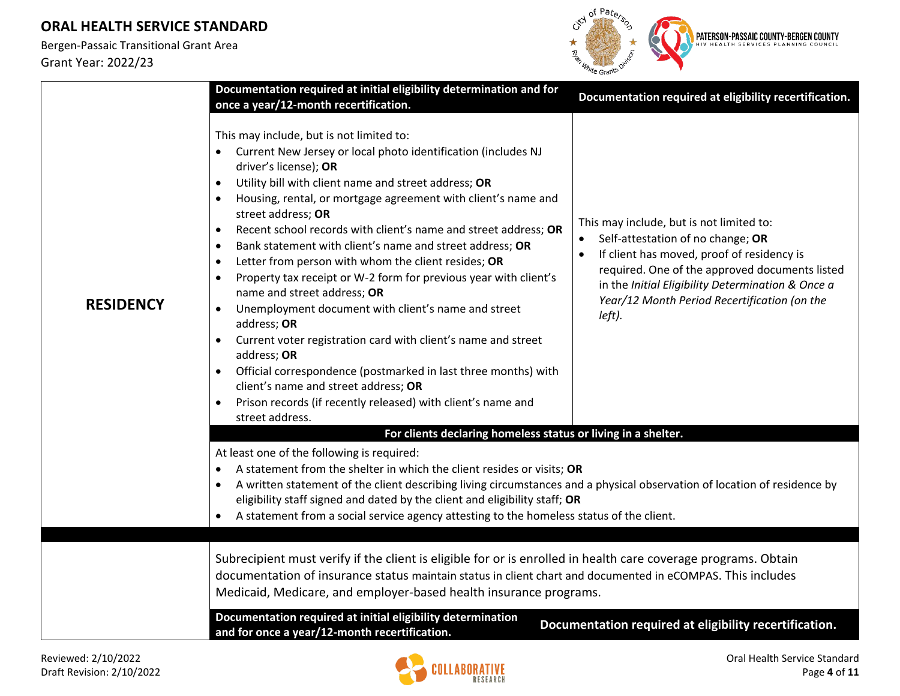

|                  | Documentation required at initial eligibility determination and for<br>once a year/12-month recertification.                                                                                                                                                                                                                                                                                                                                                                                                                                                                                                                                                                                                                                                                                                                                                                                                                                                                                            | Documentation required at eligibility recertification.                                                                                                                                                                                                                                       |  |  |  |
|------------------|---------------------------------------------------------------------------------------------------------------------------------------------------------------------------------------------------------------------------------------------------------------------------------------------------------------------------------------------------------------------------------------------------------------------------------------------------------------------------------------------------------------------------------------------------------------------------------------------------------------------------------------------------------------------------------------------------------------------------------------------------------------------------------------------------------------------------------------------------------------------------------------------------------------------------------------------------------------------------------------------------------|----------------------------------------------------------------------------------------------------------------------------------------------------------------------------------------------------------------------------------------------------------------------------------------------|--|--|--|
| <b>RESIDENCY</b> | This may include, but is not limited to:<br>• Current New Jersey or local photo identification (includes NJ<br>driver's license); OR<br>Utility bill with client name and street address; OR<br>$\bullet$<br>Housing, rental, or mortgage agreement with client's name and<br>street address; OR<br>Recent school records with client's name and street address; OR<br>$\bullet$<br>Bank statement with client's name and street address; OR<br>$\bullet$<br>Letter from person with whom the client resides; OR<br>$\bullet$<br>Property tax receipt or W-2 form for previous year with client's<br>$\bullet$<br>name and street address; OR<br>Unemployment document with client's name and street<br>$\bullet$<br>address; OR<br>Current voter registration card with client's name and street<br>$\bullet$<br>address; OR<br>Official correspondence (postmarked in last three months) with<br>client's name and street address; OR<br>Prison records (if recently released) with client's name and | This may include, but is not limited to:<br>Self-attestation of no change; OR<br>If client has moved, proof of residency is<br>required. One of the approved documents listed<br>in the Initial Eligibility Determination & Once a<br>Year/12 Month Period Recertification (on the<br>left). |  |  |  |
|                  | street address.<br>For clients declaring homeless status or living in a shelter.                                                                                                                                                                                                                                                                                                                                                                                                                                                                                                                                                                                                                                                                                                                                                                                                                                                                                                                        |                                                                                                                                                                                                                                                                                              |  |  |  |
|                  | At least one of the following is required:<br>A statement from the shelter in which the client resides or visits; OR<br>$\bullet$<br>A written statement of the client describing living circumstances and a physical observation of location of residence by<br>eligibility staff signed and dated by the client and eligibility staff; OR<br>A statement from a social service agency attesting to the homeless status of the client.                                                                                                                                                                                                                                                                                                                                                                                                                                                                                                                                                                 |                                                                                                                                                                                                                                                                                              |  |  |  |
|                  | Subrecipient must verify if the client is eligible for or is enrolled in health care coverage programs. Obtain<br>documentation of insurance status maintain status in client chart and documented in eCOMPAS. This includes<br>Medicaid, Medicare, and employer-based health insurance programs.                                                                                                                                                                                                                                                                                                                                                                                                                                                                                                                                                                                                                                                                                                       |                                                                                                                                                                                                                                                                                              |  |  |  |
|                  | Documentation required at initial eligibility determination<br>and for once a year/12-month recertification.                                                                                                                                                                                                                                                                                                                                                                                                                                                                                                                                                                                                                                                                                                                                                                                                                                                                                            | Documentation required at eligibility recertification.                                                                                                                                                                                                                                       |  |  |  |

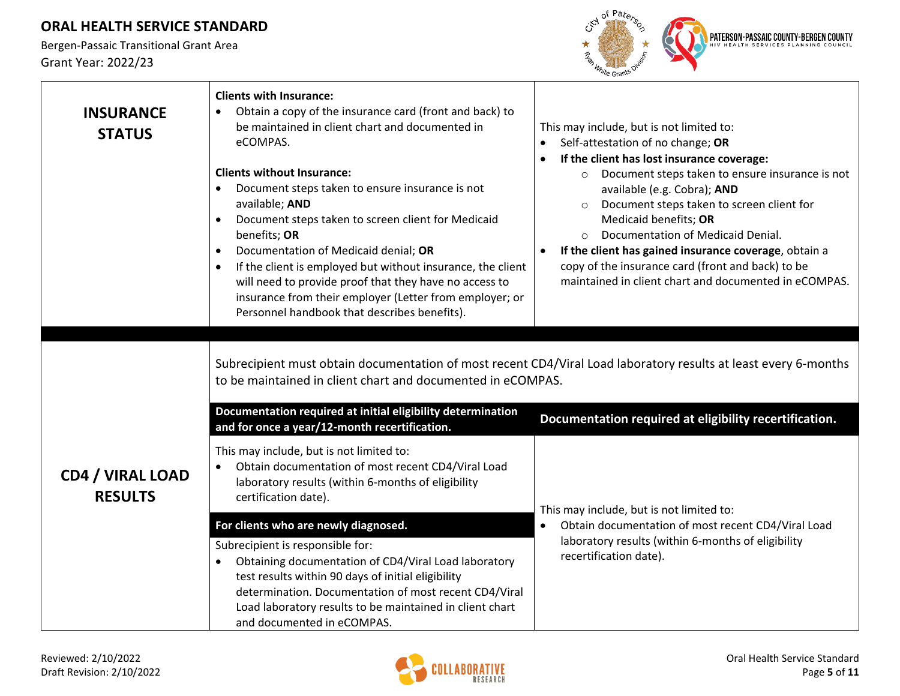

| <b>INSURANCE</b><br><b>STATUS</b>         | <b>Clients with Insurance:</b><br>Obtain a copy of the insurance card (front and back) to<br>$\bullet$<br>be maintained in client chart and documented in<br>eCOMPAS.<br><b>Clients without Insurance:</b><br>Document steps taken to ensure insurance is not<br>available; AND<br>Document steps taken to screen client for Medicaid<br>$\bullet$<br>benefits; OR<br>Documentation of Medicaid denial; OR<br>$\bullet$<br>If the client is employed but without insurance, the client<br>$\bullet$<br>will need to provide proof that they have no access to<br>insurance from their employer (Letter from employer; or<br>Personnel handbook that describes benefits). | This may include, but is not limited to:<br>Self-attestation of no change; OR<br>$\bullet$<br>If the client has lost insurance coverage:<br>$\bullet$<br>Document steps taken to ensure insurance is not<br>$\circ$<br>available (e.g. Cobra); AND<br>Document steps taken to screen client for<br>$\circ$<br>Medicaid benefits; OR<br>Documentation of Medicaid Denial.<br>$\Omega$<br>If the client has gained insurance coverage, obtain a<br>copy of the insurance card (front and back) to be<br>maintained in client chart and documented in eCOMPAS. |  |
|-------------------------------------------|--------------------------------------------------------------------------------------------------------------------------------------------------------------------------------------------------------------------------------------------------------------------------------------------------------------------------------------------------------------------------------------------------------------------------------------------------------------------------------------------------------------------------------------------------------------------------------------------------------------------------------------------------------------------------|-------------------------------------------------------------------------------------------------------------------------------------------------------------------------------------------------------------------------------------------------------------------------------------------------------------------------------------------------------------------------------------------------------------------------------------------------------------------------------------------------------------------------------------------------------------|--|
|                                           | Subrecipient must obtain documentation of most recent CD4/Viral Load laboratory results at least every 6-months<br>to be maintained in client chart and documented in eCOMPAS.<br>Documentation required at initial eligibility determination                                                                                                                                                                                                                                                                                                                                                                                                                            |                                                                                                                                                                                                                                                                                                                                                                                                                                                                                                                                                             |  |
|                                           | and for once a year/12-month recertification.                                                                                                                                                                                                                                                                                                                                                                                                                                                                                                                                                                                                                            | Documentation required at eligibility recertification.                                                                                                                                                                                                                                                                                                                                                                                                                                                                                                      |  |
| <b>CD4 / VIRAL LOAD</b><br><b>RESULTS</b> | This may include, but is not limited to:<br>Obtain documentation of most recent CD4/Viral Load<br>laboratory results (within 6-months of eligibility<br>certification date).                                                                                                                                                                                                                                                                                                                                                                                                                                                                                             | This may include, but is not limited to:                                                                                                                                                                                                                                                                                                                                                                                                                                                                                                                    |  |
|                                           | For clients who are newly diagnosed.                                                                                                                                                                                                                                                                                                                                                                                                                                                                                                                                                                                                                                     | Obtain documentation of most recent CD4/Viral Load<br>$\bullet$                                                                                                                                                                                                                                                                                                                                                                                                                                                                                             |  |
|                                           | Subrecipient is responsible for:<br>Obtaining documentation of CD4/Viral Load laboratory<br>test results within 90 days of initial eligibility<br>determination. Documentation of most recent CD4/Viral<br>Load laboratory results to be maintained in client chart<br>and documented in eCOMPAS.                                                                                                                                                                                                                                                                                                                                                                        | laboratory results (within 6-months of eligibility<br>recertification date).                                                                                                                                                                                                                                                                                                                                                                                                                                                                                |  |

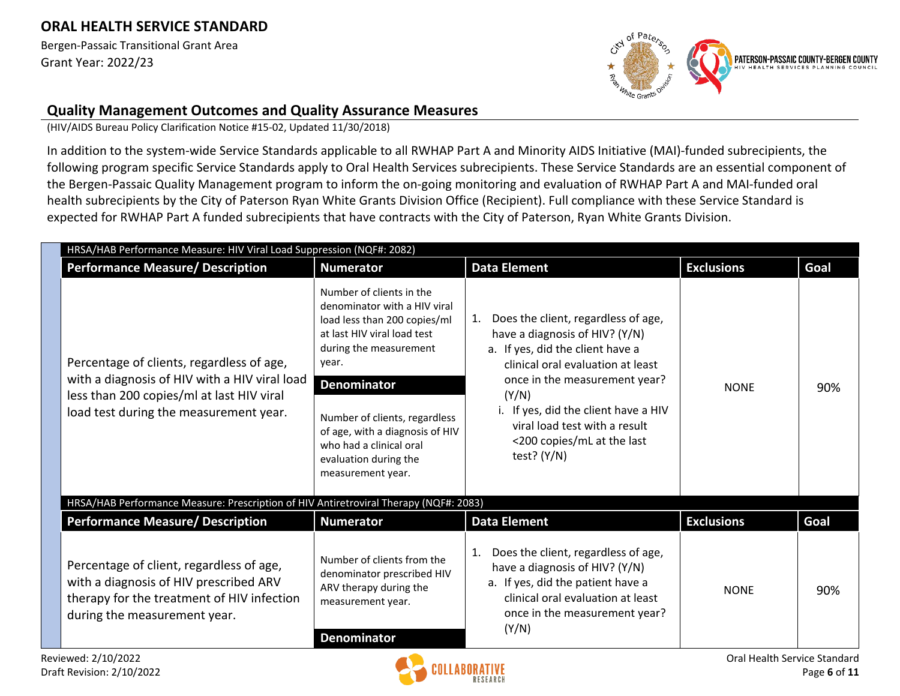Bergen-Passaic Transitional Grant Area Grant Year: 2022/23



#### **Quality Management Outcomes and Quality Assurance Measures**

(HIV/AIDS Bureau Policy Clarification Notice #15-02, Updated 11/30/2018)

In addition to the system-wide Service Standards applicable to all RWHAP Part A and Minority AIDS Initiative (MAI)-funded subrecipients, the following program specific Service Standards apply to Oral Health Services subrecipients. These Service Standards are an essential component of the Bergen-Passaic Quality Management program to inform the on-going monitoring and evaluation of RWHAP Part A and MAI-funded oral health subrecipients by the City of Paterson Ryan White Grants Division Office (Recipient). Full compliance with these Service Standard is expected for RWHAP Part A funded subrecipients that have contracts with the City of Paterson, Ryan White Grants Division.

| <b>Performance Measure/ Description</b>                                                                                                                                           | <b>Numerator</b>                                                                                                                                                                                                                                                                                                              | <b>Data Element</b>                                                                                                                                                                                                                                                                                                 | <b>Exclusions</b> | Goal |
|-----------------------------------------------------------------------------------------------------------------------------------------------------------------------------------|-------------------------------------------------------------------------------------------------------------------------------------------------------------------------------------------------------------------------------------------------------------------------------------------------------------------------------|---------------------------------------------------------------------------------------------------------------------------------------------------------------------------------------------------------------------------------------------------------------------------------------------------------------------|-------------------|------|
| Percentage of clients, regardless of age,<br>with a diagnosis of HIV with a HIV viral load<br>less than 200 copies/ml at last HIV viral<br>load test during the measurement year. | Number of clients in the<br>denominator with a HIV viral<br>load less than 200 copies/ml<br>at last HIV viral load test<br>during the measurement<br>year.<br><b>Denominator</b><br>Number of clients, regardless<br>of age, with a diagnosis of HIV<br>who had a clinical oral<br>evaluation during the<br>measurement year. | 1. Does the client, regardless of age,<br>have a diagnosis of HIV? (Y/N)<br>a. If yes, did the client have a<br>clinical oral evaluation at least<br>once in the measurement year?<br>(Y/N)<br>i. If yes, did the client have a HIV<br>viral load test with a result<br><200 copies/mL at the last<br>test? $(Y/N)$ | <b>NONE</b>       | 90%  |
| HRSA/HAB Performance Measure: Prescription of HIV Antiretroviral Therapy (NQF#: 2083)                                                                                             |                                                                                                                                                                                                                                                                                                                               |                                                                                                                                                                                                                                                                                                                     |                   |      |
| <b>Performance Measure/ Description</b>                                                                                                                                           | <b>Numerator</b>                                                                                                                                                                                                                                                                                                              | <b>Data Element</b>                                                                                                                                                                                                                                                                                                 | <b>Exclusions</b> | Goal |
| Percentage of client, regardless of age,<br>with a diagnosis of HIV prescribed ARV<br>therapy for the treatment of HIV infection<br>during the measurement year.                  | Number of clients from the<br>denominator prescribed HIV<br>ARV therapy during the<br>measurement year.<br><b>Denominator</b>                                                                                                                                                                                                 | Does the client, regardless of age,<br>1.<br>have a diagnosis of HIV? (Y/N)<br>a. If yes, did the patient have a<br>clinical oral evaluation at least<br>once in the measurement year?<br>(Y/N)                                                                                                                     | <b>NONE</b>       | 90%  |

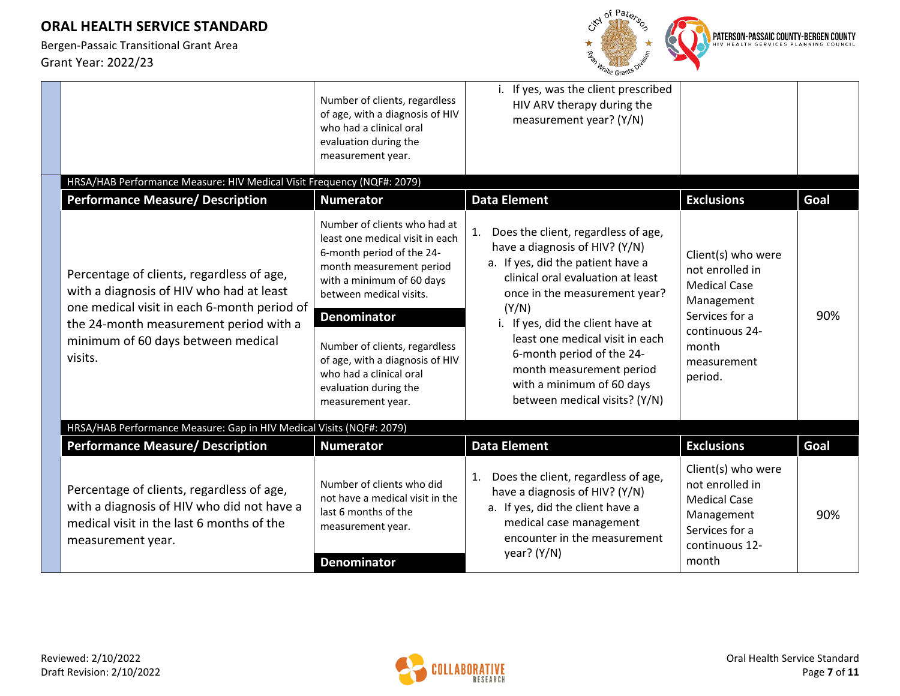

|                                                                                                                                                                                                                                 | Number of clients, regardless<br>of age, with a diagnosis of HIV<br>who had a clinical oral<br>evaluation during the<br>measurement year.                                                                                                                                                                                                           | i. If yes, was the client prescribed<br>HIV ARV therapy during the<br>measurement year? (Y/N)                                                                                                                                                                                                                                                                                                  |                                                                                                                                                   |      |
|---------------------------------------------------------------------------------------------------------------------------------------------------------------------------------------------------------------------------------|-----------------------------------------------------------------------------------------------------------------------------------------------------------------------------------------------------------------------------------------------------------------------------------------------------------------------------------------------------|------------------------------------------------------------------------------------------------------------------------------------------------------------------------------------------------------------------------------------------------------------------------------------------------------------------------------------------------------------------------------------------------|---------------------------------------------------------------------------------------------------------------------------------------------------|------|
| HRSA/HAB Performance Measure: HIV Medical Visit Frequency (NQF#: 2079)                                                                                                                                                          |                                                                                                                                                                                                                                                                                                                                                     |                                                                                                                                                                                                                                                                                                                                                                                                |                                                                                                                                                   |      |
| <b>Performance Measure/ Description</b>                                                                                                                                                                                         | <b>Numerator</b>                                                                                                                                                                                                                                                                                                                                    | <b>Data Element</b>                                                                                                                                                                                                                                                                                                                                                                            | <b>Exclusions</b>                                                                                                                                 | Goal |
| Percentage of clients, regardless of age,<br>with a diagnosis of HIV who had at least<br>one medical visit in each 6-month period of<br>the 24-month measurement period with a<br>minimum of 60 days between medical<br>visits. | Number of clients who had at<br>least one medical visit in each<br>6-month period of the 24-<br>month measurement period<br>with a minimum of 60 days<br>between medical visits.<br><b>Denominator</b><br>Number of clients, regardless<br>of age, with a diagnosis of HIV<br>who had a clinical oral<br>evaluation during the<br>measurement year. | Does the client, regardless of age,<br>1.<br>have a diagnosis of HIV? (Y/N)<br>a. If yes, did the patient have a<br>clinical oral evaluation at least<br>once in the measurement year?<br>(Y/N)<br>i. If yes, did the client have at<br>least one medical visit in each<br>6-month period of the 24-<br>month measurement period<br>with a minimum of 60 days<br>between medical visits? (Y/N) | Client(s) who were<br>not enrolled in<br><b>Medical Case</b><br>Management<br>Services for a<br>continuous 24-<br>month<br>measurement<br>period. | 90%  |
| HRSA/HAB Performance Measure: Gap in HIV Medical Visits (NQF#: 2079)                                                                                                                                                            |                                                                                                                                                                                                                                                                                                                                                     |                                                                                                                                                                                                                                                                                                                                                                                                |                                                                                                                                                   |      |
| <b>Performance Measure/ Description</b>                                                                                                                                                                                         | <b>Numerator</b>                                                                                                                                                                                                                                                                                                                                    | <b>Data Element</b>                                                                                                                                                                                                                                                                                                                                                                            | <b>Exclusions</b>                                                                                                                                 | Goal |
| Percentage of clients, regardless of age,<br>with a diagnosis of HIV who did not have a<br>medical visit in the last 6 months of the<br>measurement year.                                                                       | Number of clients who did<br>not have a medical visit in the<br>last 6 months of the<br>measurement year.<br><b>Denominator</b>                                                                                                                                                                                                                     | Does the client, regardless of age,<br>1.<br>have a diagnosis of HIV? (Y/N)<br>a. If yes, did the client have a<br>medical case management<br>encounter in the measurement<br>year? $(Y/N)$                                                                                                                                                                                                    | Client(s) who were<br>not enrolled in<br><b>Medical Case</b><br>Management<br>Services for a<br>continuous 12-<br>month                           | 90%  |

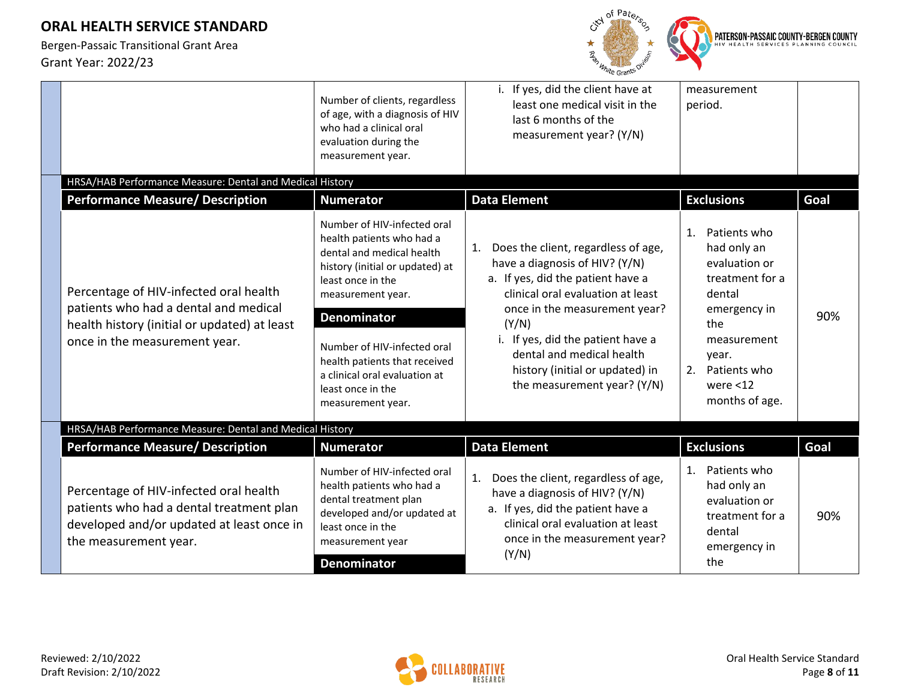

|                                                                                                                                                          | Number of clients, regardless<br>of age, with a diagnosis of HIV<br>who had a clinical oral<br>evaluation during the<br>measurement year.                          | i. If yes, did the client have at<br>least one medical visit in the<br>last 6 months of the<br>measurement year? (Y/N)                                                                          | measurement<br>period.                                                                                 |      |
|----------------------------------------------------------------------------------------------------------------------------------------------------------|--------------------------------------------------------------------------------------------------------------------------------------------------------------------|-------------------------------------------------------------------------------------------------------------------------------------------------------------------------------------------------|--------------------------------------------------------------------------------------------------------|------|
| HRSA/HAB Performance Measure: Dental and Medical History                                                                                                 |                                                                                                                                                                    |                                                                                                                                                                                                 |                                                                                                        |      |
| <b>Performance Measure/ Description</b>                                                                                                                  | <b>Numerator</b>                                                                                                                                                   | <b>Data Element</b>                                                                                                                                                                             | <b>Exclusions</b>                                                                                      | Goal |
| Percentage of HIV-infected oral health                                                                                                                   | Number of HIV-infected oral<br>health patients who had a<br>dental and medical health<br>history (initial or updated) at<br>least once in the<br>measurement year. | Does the client, regardless of age,<br>1.<br>have a diagnosis of HIV? (Y/N)<br>a. If yes, did the patient have a<br>clinical oral evaluation at least                                           | Patients who<br>$\mathbf{1}$ .<br>had only an<br>evaluation or<br>treatment for a<br>dental            |      |
| patients who had a dental and medical<br>health history (initial or updated) at least                                                                    | <b>Denominator</b>                                                                                                                                                 | once in the measurement year?<br>(Y/N)                                                                                                                                                          | emergency in<br>the                                                                                    | 90%  |
| once in the measurement year.                                                                                                                            | Number of HIV-infected oral<br>health patients that received<br>a clinical oral evaluation at<br>least once in the<br>measurement year.                            | i. If yes, did the patient have a<br>dental and medical health<br>history (initial or updated) in<br>the measurement year? (Y/N)                                                                | measurement<br>year.<br>Patients who<br>2.<br>were $<$ 12<br>months of age.                            |      |
| HRSA/HAB Performance Measure: Dental and Medical History                                                                                                 |                                                                                                                                                                    |                                                                                                                                                                                                 |                                                                                                        |      |
| <b>Performance Measure/ Description</b>                                                                                                                  | <b>Numerator</b>                                                                                                                                                   | <b>Data Element</b>                                                                                                                                                                             | <b>Exclusions</b>                                                                                      | Goal |
| Percentage of HIV-infected oral health<br>patients who had a dental treatment plan<br>developed and/or updated at least once in<br>the measurement year. | Number of HIV-infected oral<br>health patients who had a<br>dental treatment plan<br>developed and/or updated at<br>least once in the<br>measurement year          | Does the client, regardless of age,<br>1.<br>have a diagnosis of HIV? (Y/N)<br>a. If yes, did the patient have a<br>clinical oral evaluation at least<br>once in the measurement year?<br>(Y/N) | Patients who<br>1.<br>had only an<br>evaluation or<br>treatment for a<br>dental<br>emergency in<br>the | 90%  |
|                                                                                                                                                          | <b>Denominator</b>                                                                                                                                                 |                                                                                                                                                                                                 |                                                                                                        |      |

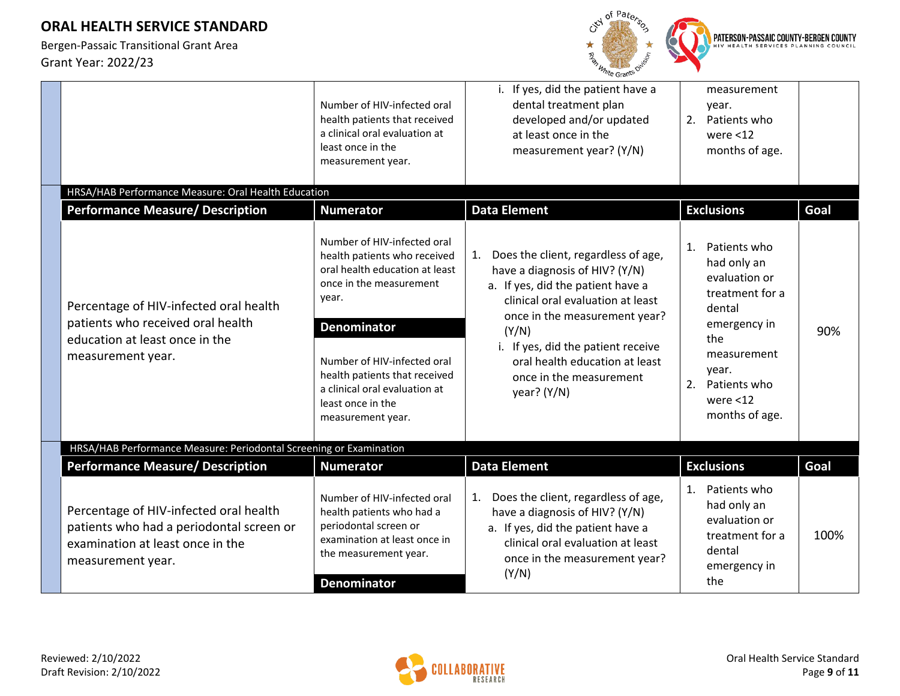

|                                                                                                                                             | Number of HIV-infected oral<br>health patients that received<br>a clinical oral evaluation at<br>least once in the<br>measurement year.                                                                                                                                                            | i. If yes, did the patient have a<br>dental treatment plan<br>developed and/or updated<br>at least once in the<br>measurement year? (Y/N)                                                                                                                                                                         | measurement<br>year.<br>Patients who<br>2.<br>were $<$ 12<br>months of age.                                                                                                           |      |
|---------------------------------------------------------------------------------------------------------------------------------------------|----------------------------------------------------------------------------------------------------------------------------------------------------------------------------------------------------------------------------------------------------------------------------------------------------|-------------------------------------------------------------------------------------------------------------------------------------------------------------------------------------------------------------------------------------------------------------------------------------------------------------------|---------------------------------------------------------------------------------------------------------------------------------------------------------------------------------------|------|
| HRSA/HAB Performance Measure: Oral Health Education                                                                                         |                                                                                                                                                                                                                                                                                                    |                                                                                                                                                                                                                                                                                                                   |                                                                                                                                                                                       |      |
| <b>Performance Measure/ Description</b>                                                                                                     | <b>Numerator</b>                                                                                                                                                                                                                                                                                   | <b>Data Element</b>                                                                                                                                                                                                                                                                                               | <b>Exclusions</b>                                                                                                                                                                     | Goal |
| Percentage of HIV-infected oral health<br>patients who received oral health<br>education at least once in the<br>measurement year.          | Number of HIV-infected oral<br>health patients who received<br>oral health education at least<br>once in the measurement<br>year.<br><b>Denominator</b><br>Number of HIV-infected oral<br>health patients that received<br>a clinical oral evaluation at<br>least once in the<br>measurement year. | Does the client, regardless of age,<br>1.<br>have a diagnosis of HIV? (Y/N)<br>a. If yes, did the patient have a<br>clinical oral evaluation at least<br>once in the measurement year?<br>(Y/N)<br>i. If yes, did the patient receive<br>oral health education at least<br>once in the measurement<br>year? (Y/N) | Patients who<br>1.<br>had only an<br>evaluation or<br>treatment for a<br>dental<br>emergency in<br>the<br>measurement<br>year.<br>2.<br>Patients who<br>were $<$ 12<br>months of age. | 90%  |
| HRSA/HAB Performance Measure: Periodontal Screening or Examination                                                                          |                                                                                                                                                                                                                                                                                                    |                                                                                                                                                                                                                                                                                                                   |                                                                                                                                                                                       |      |
| <b>Performance Measure/ Description</b>                                                                                                     | <b>Numerator</b>                                                                                                                                                                                                                                                                                   | <b>Data Element</b>                                                                                                                                                                                                                                                                                               | <b>Exclusions</b>                                                                                                                                                                     | Goal |
| Percentage of HIV-infected oral health<br>patients who had a periodontal screen or<br>examination at least once in the<br>measurement year. | Number of HIV-infected oral<br>health patients who had a<br>periodontal screen or<br>examination at least once in<br>the measurement year.<br><b>Denominator</b>                                                                                                                                   | Does the client, regardless of age,<br>1.<br>have a diagnosis of HIV? (Y/N)<br>a. If yes, did the patient have a<br>clinical oral evaluation at least<br>once in the measurement year?<br>(Y/N)                                                                                                                   | 1.<br>Patients who<br>had only an<br>evaluation or<br>treatment for a<br>dental<br>emergency in<br>the                                                                                | 100% |

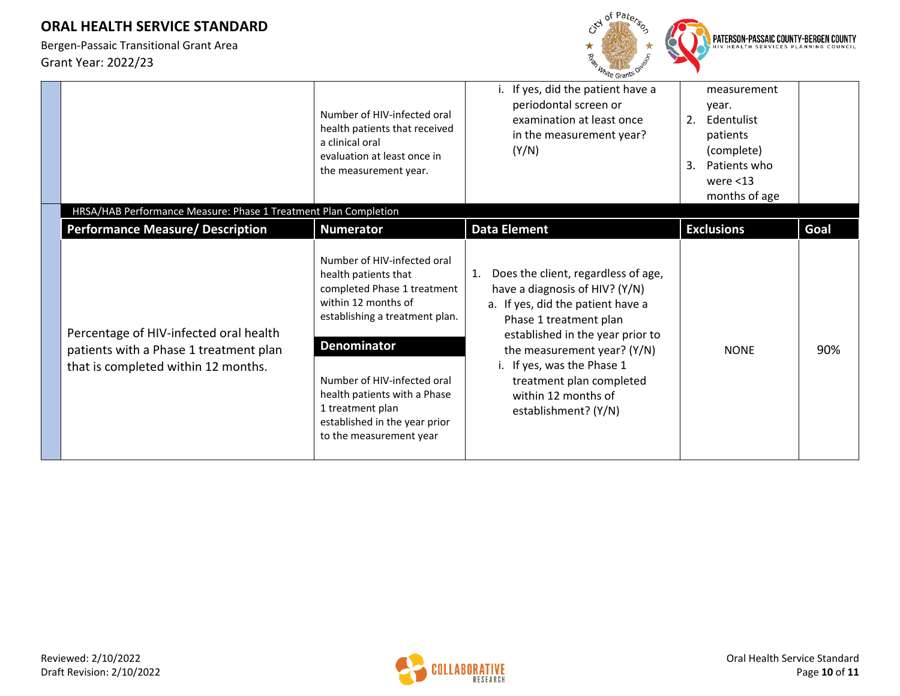

|                                                                                                                         | Number of HIV-infected oral<br>health patients that received<br>a clinical oral<br>evaluation at least once in<br>the measurement year.                                                                                                                                                                          | i. If yes, did the patient have a<br>periodontal screen or<br>examination at least once<br>in the measurement year?<br>(Y/N)                                                                                                                                                                                           | measurement<br>year.<br>2.<br>Edentulist<br>patients<br>(complete)<br>3.<br>Patients who<br>were $<$ 13<br>months of age |      |
|-------------------------------------------------------------------------------------------------------------------------|------------------------------------------------------------------------------------------------------------------------------------------------------------------------------------------------------------------------------------------------------------------------------------------------------------------|------------------------------------------------------------------------------------------------------------------------------------------------------------------------------------------------------------------------------------------------------------------------------------------------------------------------|--------------------------------------------------------------------------------------------------------------------------|------|
| HRSA/HAB Performance Measure: Phase 1 Treatment Plan Completion                                                         |                                                                                                                                                                                                                                                                                                                  |                                                                                                                                                                                                                                                                                                                        |                                                                                                                          |      |
| <b>Performance Measure/ Description</b>                                                                                 | <b>Numerator</b>                                                                                                                                                                                                                                                                                                 | <b>Data Element</b>                                                                                                                                                                                                                                                                                                    | <b>Exclusions</b>                                                                                                        | Goal |
| Percentage of HIV-infected oral health<br>patients with a Phase 1 treatment plan<br>that is completed within 12 months. | Number of HIV-infected oral<br>health patients that<br>completed Phase 1 treatment<br>within 12 months of<br>establishing a treatment plan.<br><b>Denominator</b><br>Number of HIV-infected oral<br>health patients with a Phase<br>1 treatment plan<br>established in the year prior<br>to the measurement year | Does the client, regardless of age,<br>1.<br>have a diagnosis of HIV? (Y/N)<br>a. If yes, did the patient have a<br>Phase 1 treatment plan<br>established in the year prior to<br>the measurement year? (Y/N)<br>i. If yes, was the Phase 1<br>treatment plan completed<br>within 12 months of<br>establishment? (Y/N) | <b>NONE</b>                                                                                                              | 90%  |